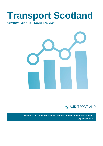# **Transport Scotland**

### **2020/21 Annual Audit Report**





**Prepared for Transport Scotland and the Auditor General for Scotland** September 2021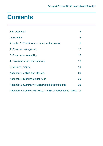### **Contents**

| Key messages                                                   | 3  |
|----------------------------------------------------------------|----|
| <b>Introduction</b>                                            | 4  |
| 1. Audit of 2020/21 annual report and accounts                 | 6  |
| 2. Financial management                                        | 10 |
| 3. Financial sustainability                                    | 15 |
| 4. Governance and transparency                                 | 16 |
| 5. Value for money                                             | 19 |
| Appendix 1. Action plan 2020/21                                | 23 |
| Appendix 2. Significant audit risks                            | 29 |
| Appendix 3. Summary of uncorrected misstatements               | 33 |
| Appendix 4. Summary of 2020/21 national performance reports 35 |    |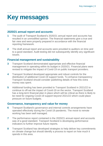### <span id="page-2-0"></span>**Key messages**

#### **2020/21 annual report and accounts**

- **1** The audit of Transport Scotland's 2020/21 annual report and accounts has resulted in an unmodified opinion. The financial statements give a true and fair view and were properly prepared in accordance with the financial reporting framework.
- **2** The draft annual report and accounts were provided to auditors on time and to a good standard. Audit testing did not subsequently identify any significant issues.

#### **Financial management and sustainability**

- **3** Transport Scotland demonstrated appropriate and effective financial management in operating within its budget in 2020/21. Financial plans were revised to mitigate the impact of Covid-19 on public transport providers.
- **4** Transport Scotland developed appropriate and robust controls for the distribution of additional Covid-19 support funds. To enhance transparency Transport Scotland should consider publishing details of how this extra money was spent.
- **5** Additional funding has been provided to Transport Scotland in 2021/22 to continue to off-set the impact of Covid-19 on the sector. Transport Scotland has a long-term financial plan in place which will be critical as there is likely to be need for ongoing Covid-19 support beyond 2021/22 which could place pressure on future budgets.

#### **Governance, transparency and value for money**

- **6** Transport Scotland's governance and internal controls arrangements have operated effectively during the Covid-19 pandemic. The move to remote working has been well managed.
- **7** The performance report contained in the 2020/21 annual report and accounts was of a good standard. Transport Scotland is developing performance indicators to further improve future reports.
- **8** Transport Scotland has developed strategies to help deliver key commitments on climate change but should identify a process to report on how much it spends in this area.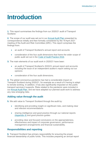### <span id="page-3-0"></span>**Introduction**

**1.** This report summarises the findings from our 2020/21 audit of Transport Scotland.

**2.** The scope of our audit was set out in our [Annual Audit Plan](https://www.audit-scotland.gov.uk/report/transport-scotland-annual-audit-plan-202021) presented by correspondence initially and then formally considered by the 19 April 2021 meeting of the Audit and Risk Committee (ARC). This report comprises the findings from:

- an audit of Transport Scotland's annual report and accounts
- consideration of the four audit dimensions that frame the wider scope of public audit set out in the [Code of Audit Practice 2016.](http://www.audit-scotland.gov.uk/report/code-of-audit-practice-2016)
- **3.** The main elements of our audit work in 2020/21 have been:
	- an audit of Transport Scotland's 2020/21 annual report and accounts including the issue of an independent auditor's report setting out our opinions
	- consideration of the four audit dimensions.

**4.** The global coronavirus pandemic has had a considerable impact on Transport Scotland during 2020/21, for example as a result of it having to adapt to remote working. In addition, it has also significantly impacted on the public transport services it supports. Risks related to the pandemic were included in ou[r Annual Audit Plan,](https://www.audit-scotland.gov.uk/report/transport-scotland-annual-audit-plan-202021) and we have adapted our planned audit work to address any new emerging risks.

#### **Adding value through the audit**

**5.** We add value to Transport Scotland through the audit by:

- identifying and providing insight on significant risks, and making clear and relevant recommendations
- sharing intelligence and good practice through our national reports [\(Appendix 4\)](#page-34-0) and good practice guides
- providing clear and focused conclusions on the appropriateness, effectiveness and impact of corporate governance, performance management arrangements and financial sustainability.

#### **Responsibilities and reporting**

**6.** Transport Scotland has primary responsibility for ensuring the proper financial stewardship of public funds. This includes preparing an annual report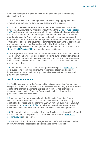and accounts that are in accordance with the accounts direction from the Scottish Ministers.

**7.** Transport Scotland is also responsible for establishing appropriate and effective arrangements for governance, propriety and regularity.

**8.** Our responsibilities as independent auditor are established by the Public Finance and Accountability (Scotland) Act 2000 and the [Code of Audit Practice](https://www.audit-scotland.gov.uk/report/code-of-audit-practice-2016)  [2016,](https://www.audit-scotland.gov.uk/report/code-of-audit-practice-2016) and supplementary guidance and International Standards on Auditing in the UK. As public sector auditors we give independent opinions on the annual report and accounts. Additionally, we conclude on the appropriateness and effectiveness of the performance management arrangements, the suitability and effectiveness of corporate governance arrangements, the financial position and arrangements for securing financial sustainability. Further details of the respective responsibilities of management and the auditor can be found in the [Code of Audit Practice 2016](http://auditscotland.spideronline.co.uk/report/code-of-audit-practice-2016) and supplementary guidance.

**9.** This report raises matters from our audit. Weaknesses or risks identified are only those which have come to our attention during our normal audit work and may not be all that exist. Communicating these does not absolve management from its responsibility to address the issues we raise and to maintain adequate systems of control.

**10.** Our annual audit report contains an agreed action plan at [Appendix 1.](#page-22-0) It sets out specific recommendations, the responsible officers and dates for implementation. It also includes any outstanding actions from last year and progress against these.

#### **Auditor Independence**

**11.** Auditors appointed by the Accounts Commission or Auditor General must comply with the Code of Audit Practice and relevant supporting guidance. When auditing the financial statements auditors must comply with professional standards issued by the Financial Reporting Council and those of the professional accountancy bodies.

**12.** We can confirm that we comply with the Financial Reporting Council's Ethical Standard. We can also confirm that we have not undertaken any nonaudit related services and therefore the 2020/21 notional audit fee of £186,170 as set out in ou[r Annual Audit Plan](https://www.audit-scotland.gov.uk/report/transport-scotland-annual-audit-plan-202021) remains unchanged. We are not aware of any relationships that could compromise our objectivity and independence.

**13.** This report is addressed to both Transport Scotland and the Auditor General for Scotland and will be published on Audit Scotland's website [www.audit](http://www.audit-scotland.gov.uk/)scotland gov.uk in due course.

**14.** We would like to thank the management and staff who have been involved in our work for their cooperation and assistance during the audit.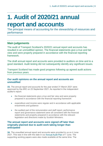### <span id="page-5-0"></span>**1. Audit of 2020/21 annual report and accounts**

The principal means of accounting for the stewardship of resources and performance

#### **Main judgements**

The audit of Transport Scotland's 2020/21 annual report and accounts has resulted in an unmodified opinion. The financial statements give a true and fair view and were properly prepared in accordance with the financial reporting framework.

The draft annual report and accounts were provided to auditors on time and to a good standard. Audit testing did not subsequently identify any significant issues.

Transport Scotland has made good progress following up agreed audit actions from previous years.

#### **Our audit opinions on the annual report and accounts are unmodified**

**15.** The annual report and accounts for the year ended 31 March 2021 were approved by the ARC on 23 September 2021. As reported in the independent auditor's report:

- the financial statements give a true and fair view and were properly prepared in accordance with the financial reporting framework
- expenditure and income were regular and in accordance with applicable enactments and guidance
- the audited part of the remuneration and staff report, performance report and governance statement were all consistent with the financial statements and properly prepared in accordance with the relevant legislation and directions made by Scottish Ministers.

#### **The annual report and accounts were signed off later than originally planned due to audit work taking longer than anticipated**

**16.** The unaudited annual report and accounts were provided to us on 4 June 2021. This was in line with the date in our [Annual Audit Plan](https://www.audit-scotland.gov.uk/report/transport-scotland-annual-audit-plan-202021) of 7 June. The supporting working papers were also made available at the same time. The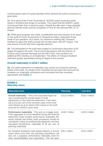working papers were of a good standard which allowed the audit to proceed at a good pace.

**17.** As a result of the Covid-19 pandemic, 2019/20 audits across the public sector in Scotland took longer to complete. This meant that the 2020/21 audits commenced later than in previous years. Despite the later start, it was originally planned that the audit could be completed on time for the planned ARC on 16 August.

**18.** While good progress was made, considerable time was required to be spent on the audit of Covid-19 payments to transport providers, particularly those made to bus operators. As a result, our clearance meeting with Transport Scotland to agree the draft accounts did not take place until 20<sup>th</sup> August. This was around a month later than originally planned.

**19.** The timescales for the audit were subject to constructive discussion at all stages throughout the audit. This involved discussions with the Director of Finance and Corporate Services and the ARC Chair, and resulted in an additional ARC meeting on 23 September. The efforts of Transport Scotland staff were greatly appreciated during all stages of the process.

#### **Overall materiality is £210.7 million**

**20.** Our initial assessment of materiality was carried out during the planning phase of the audit. On receipt of the unaudited annual report and accounts we reviewed our materiality calculations and concluded that they remained appropriate (see [Exhibit](#page-6-0) 1).

#### <span id="page-6-0"></span>**Exhibit 1 Materiality values**

| <b>Materiality level</b>                                                                                                                                                                                                                                                                                                                                                                                           | <b>Planning</b> | <b>Year-End</b> |
|--------------------------------------------------------------------------------------------------------------------------------------------------------------------------------------------------------------------------------------------------------------------------------------------------------------------------------------------------------------------------------------------------------------------|-----------------|-----------------|
| <b>Overall materiality</b> - This is the calculated figure we<br>use in assessing the overall impact of audit<br>adjustments on the financial statements. It has been<br>set at one per cent of the net book value of the trunk<br>road network as at 31 March 2021 based on the draft<br>accounts for 2020/21 (year-end).                                                                                         | £213.3 million  | £210.7 million  |
| <b>Performance materiality</b> - This acts as a trigger point. $\epsilon$ 106.7 million<br>If the aggregate of errors identified during the financial<br>statements audit exceeds performance materiality this<br>would indicate that further audit procedures should be<br>considered. Using our professional judgement, we have<br>calculated performance materiality at 50 per cent of<br>planning materiality. |                 | £105.3 million  |
| As Transport Scotland's total assets balance is around £26.1 million<br>seven times more than net operating expenditure, we<br>also set a separate performance materiality level for<br>other assets/liabilities and expenditure. This has been                                                                                                                                                                    |                 | £23.2 million   |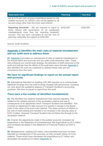| <b>Materiality level</b>                                                                                                                                                                                                                                                         | <b>Planning</b> | <b>Year-End</b> |
|----------------------------------------------------------------------------------------------------------------------------------------------------------------------------------------------------------------------------------------------------------------------------------|-----------------|-----------------|
| set at 0.75 per cent of gross expenditure based on the<br>audited accounts for 2020/21 and will be applied to all<br>account areas other than the trunk road network.                                                                                                            |                 |                 |
| <b>Reporting threshold</b> – We are required to report to £250,000<br>those shared with governance on all unadjusted<br>misstatements more than the 'reporting threshold'<br>amount. This has been calculated at one per cent of<br>planning materiality but capped at £250,000. |                 | £250,000        |

#### Source: Audit Scotland

#### **[Appendix 2](#page-28-0) identifies the main risks of material misstatement and our audit work to address these**

**21.** [Appendix 2](#page-28-0) provides our assessment of risks of material misstatement in the annual report and accounts and any wider audit dimension risks. These risks influence our overall audit strategy, the allocation of staff resources to the audit and indicate how the efforts of the audit team were directed. [Appendix 2](#page-28-0) also identifies the work we undertook to address these risks and our conclusions from this work.

#### **We have no significant findings to report on the annual report and accounts**

**22.** International Standard on Auditing (UK) 260 requires us to communicate significant findings from the audit to those charged with governance, including our view about the qualitative aspects of Transport Scotland's accounting practices. We have no issues to report from the audit.

#### **There were a low number of identified misstatements**

**23.** We identified one material misstatement that required adjusting. This related to the realised element of the revaluation reserve and was a consequence of an adjustment which Transport Scotland had identified. This involved an adjustment to take account of a quarter 4 change in the Baxter index to the value of the trunk road network. This takes account of inflation in the cost of road building and resulted in an increase in the carrying value of £237.3 million. However Transport Scotland did not follow this through to the revaluation reserve.

**24.** Overall, the adjustments made in the audited accounts increased net expenditure in the Statement of Comprehensive Net Expenditure by £0.3 million and increased net assets in the Statement of Financial Position by £237.0 million.

**25.** Misstatements, totalling £22 million, were identified that have not been adjusted by management in the accounts, as they consider these not to be material. These would have decreased net expenditure by £7 million and decreased net assets by £3 million [\(Appendix 3\).](#page-28-1)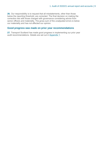**26.** Our responsibility is to request that all misstatements, other than those below the reporting threshold, are corrected. The final decision on making the correction lies with those charged with governance considering advice from senior officers and materiality. The gross sum of the unadjusted errors is below our materiality and has not affected our opinion.

#### **Good progress was made on prior year recommendations**

**27.** Transport Scotland has made good progress in implementing our prior year audit recommendations. Details are set out in [Appendix 1.](#page-22-0)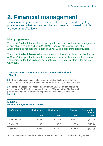## <span id="page-9-0"></span>**2. Financial management**

Financial management is about financial capacity, sound budgetary processes and whether the control environment and internal controls are operating effectively.

#### **Main judgements**

Transport Scotland demonstrated appropriate and effective financial management in operating within its budget in 2020/21. Financial plans were subject to amendments to mitigate the impact of Covid-19 on public transport providers.

Transport Scotland developed appropriate and robust controls for the distribution of Covid-19 support funds to public transport providers. To enhance transparency Transport Scotland should consider publishing details of how this extra money was spent.

#### **Transport Scotland operated within its revised budget in 2020/21**

**28.** The main financial objective for Transport Scotland is to ensure that the financial outturn for the year is within the budget allocated by Scottish Ministers.

**29.** Transport Scotland has reported an outturn of £3.246.1 million against its overall budget for 2020/21 with an underspend of £343.6 million. The financial performance against Departmental Expenditure Limits (DEL) is shown in [Exhibit](#page-9-1) 2.

#### <span id="page-9-1"></span>**Exhibit 2 Performance against DEL in 2020/21**

| <b>Performance</b>  | Initial budget | <b>Final budget</b> | <b>Outturn</b> | Over/(under)<br>spend |
|---------------------|----------------|---------------------|----------------|-----------------------|
|                     | £m             | Em                  | £m             | Em                    |
| <b>Resource DEL</b> | 2,558.3        | 3,171.0             | 2,950.1        | (220.9)               |
| <b>Capital DEL</b>  | 287.2          | 287.7               | 177.3          | (110.4)               |
| <b>Total DEL</b>    | 2,845.5        | 3,458.7             | 3,127.3        | (331.3)               |

Source: Transport Scotland Annual Report and Accounts 2020/21 and supporting papers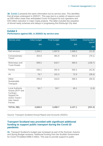**30.** Exhibit 3 presents the same information but by service area. This identifies that all areas underspent in 2020/21. This was due to a variety of reasons such as £68 million lower than anticipated Covid-19 Support for bus operators and £55 million reduction in major roads projects. The latter included the cessation of shovel ready schemes and delays in progressing the Edinburgh City deal.

#### **Exhibit 3**

#### **Performance against DEL in 2020/21 by service area**

| Service area                                                                                                                | Initial budget | <b>Final budget</b> | Outturn | Over/(under)<br>spend |
|-----------------------------------------------------------------------------------------------------------------------------|----------------|---------------------|---------|-----------------------|
|                                                                                                                             | £m             | £m                  | £m      |                       |
|                                                                                                                             |                |                     |         | £m                    |
| Rail services                                                                                                               | 1,264.1        | 1,597.6             | 1,586.0 | (11.6)                |
| Concessionary<br>Travel                                                                                                     | 303.8          | 481.9               | 402.8   | (79.1)                |
| Motorways and<br><b>Trunk Roads</b>                                                                                         | 599.2          | 618.7               | 480.0   | (138.7)               |
| Ferries                                                                                                                     | 255.1          | 291.9               | 250.2   | (41.6)                |
| Air                                                                                                                         | 76.7           | 101.3               | 72.9    | (28.4)                |
| Other<br>Sustainable<br>Transport                                                                                           | 295.8          | 316.6               | 286.3   | (30.3)                |
| <b>Local Authority</b><br>Grants (RTP and<br>Cycling) /<br>Support for<br>Active Travel /<br>Inter Island<br><b>Ferries</b> | 50.7           | 50.7                | 49.1    | (1.6)                 |
| <b>TOTAL DEL</b>                                                                                                            | 2,845.5        | 3,458.7             | 3,127.1 | (331.3)               |

Source: Transport Scotland Annual Report and Accounts 2020/21

#### **Transport Scotland was provided with significant additional funding to support public transport during the Covid-10 pandemic**

**31.** Transport Scotland's budget was increased as part of the Summer, Autumn and Spring Budget revisions. Additional funding from the Scottish Government for Covid-19 totalled £696.0 million. This was to provide support to public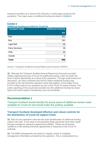transport providers as a result of the reduction in patronage caused by the pandemic. The major areas of additional funding are listed in Exhibit 4.

| <b>Exhibit 4</b><br><b>Additional funding provided for Covid-19</b> |                           |  |
|---------------------------------------------------------------------|---------------------------|--|
| <b>Transport mode</b>                                               | <b>Additional funding</b> |  |
|                                                                     | £m                        |  |
| Rail                                                                | 421                       |  |
| <b>Bus</b>                                                          | 191                       |  |
| <b>Light Rail</b>                                                   | 22                        |  |
| <b>Ferry Services</b>                                               | 38                        |  |
| <b>HIAL</b>                                                         | 22                        |  |
| Canals                                                              | 2                         |  |
| <b>Total</b>                                                        | 696                       |  |

Source: Transport Scotland Annual Report and Accounts 2020/21

**32.** Although the Transport Scotland Annual Report and Accounts provided details regarding the level of Covid-19 additional funding, it did not clarify the level of spend specifically as a result of the pandemic. Through audit review and discussion, we have confirmed that £420.9 million additional funding was provided to the rail franchise operators while interrogation of the ledger found £123.4 million paid to bus operators as part of the Covid-19 restart scheme. The public reporting of this would demonstrate how this additional funding has been spent and would support transparency and accountability.

#### **Recommendation 1**

Transport Scotland should identify the actual spend of additional monies made available for Covid-19 and should make this publicly available.

#### **Transport Scotland developed effective and robust controls for the distribution of Covid-19 support funds**

**33.** Rail and bus operators were the two main beneficiaries of additional funding made in the year. In the case of rail operators these payments have been made through emergency measures agreements (EMAs). These are temporary variations to the existing franchise agreements in response to the Covid-19 outbreak.

**34.** The EMA arrangements are based on regular review of available management information provided by the operators. This is underpinned by a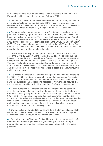final reconciliation to a full set of audited revenue accounts at the end of the EMA period which is expected to run until February 2022.

**35.** Our audit reviewed the process and concluded that the arrangements that allow payments to be made on the basis of the regular review process is reasonable. The final reconciliation has still to be performed and could result in adjustments, which are more likely to impact on the 2021/22 accounts.

**36.** Payments to bus operators required significant changes to allow for the pandemic. Previously, operators applied for two forms of payment which were based on levels of performance. These were the bus service operators' grant scheme (BSOG) and the national concessionary travel scheme (NCTS). During 2020/21 these schemes were continued through the COVID-19 Support Grant (CSG). Payments were based on the estimated level of NCTS lost due to Covid and the pre-Covid expected level of BSOG. These arrangements were reviewed as part of the audit and found to be satisfactory.

**37.** The additional funding for bus operators was put towards a new scheme called the Covid-19 Support Grant – Restart (CSG-R). This covered the gap between costs and the anticipated loss of fare-paying passenger revenue that bus operators experienced due to physical distancing and reduced capacity. Transport Scotland developed a detailed financial reconciliation process which took place every twelve weeks. This was carried out by two accountancy firms and reconciled payments received by operators to actual expenditure incurred and income received.

**38.** We carried out detailed walkthrough testing of the main controls regarding the CSG – R with a particular focus on the reconciliation process. Our testing found that the arrangements provided a reasonable basis on which to make payments subject to one aspect being addressed. We were also assured that the process had identified a significant number of refunds from operators.

**39.** During our review we identified that the reconciliation control could be strengthened through the consideration of recent audit reports for the largest operators. The largest operators account for the vast majority of spend (around 90 per cent). This additional step provides extra assurance regarding the accuracy of internally generated reports provided by the operators as part of the reconciliation. Transport Scotland carried out a review of recent audit reports and found no issues. We reviewed the results from this review and were satisfied that it addressed the underlying issue.

**40.** Our audit also reviewed additional payments to the ferry, aviation and light rail sectors. These involved changes to pre-existing contractual arrangements or grant conditions. We found no issues from this testing.

**41.** Overall, in our view Transport Scotland implemented adequate systems for recording and processing additional payments in light of Covid-19. It put appropriate measures in place to reduce the risk of fraudulent or erroneous payments.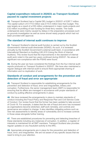#### **Capital expenditure reduced in 2020/21 as Transport Scotland paused its capital investment projects**

**42.** Transport Scotland had a Capital DEL budget in 2020/21 of £287.7 million. The capital outturn of £177/2 million was £110.5 million less than budget. This was largely as a result of a £55 million underspend in major roads projects and £32 million re-profiling of loan funding for three ferry vessels. The roads underspends were mainly caused by delays in the preparatory processes such as grounds investigation as well as some shovel ready projects which had not been provided with approval.

#### **The standard of internal audit continues to improve**

**43.** Transport Scotland's internal audit function is carried out by the Scottish Government's internal audit directorate (SGIAD). As such, it is reviewed annually by the Scottish Government's external audit team, in accordance with International Standard on Auditing (UK) 610 (Using the Work of Internal Auditors). This review found that the improvements in the standard of internal audit work noted in the past two years continued during 2020/21. No areas of significant non-compliance with the PSIAS were found.

**44.** During the year we have considered the findings from the four internal audit reports produced on Transport Scotland in 2020/21. We have also maintained a regular dialogue with internal audit to ensure there appropriate sharing of information and no duplication of work.

#### **Standards of conduct and arrangements for the prevention and detection of fraud and error are appropriate**

**45.** Transport Scotland is responsible for establishing arrangements for the prevention and detection of fraud, error and irregularities, bribery and corruption. Furthermore, the senior management team (SMT) is responsible for ensuring that its affairs are managed in accordance with proper standards of conduct by putting effective arrangements in place.

**46.** We have reviewed the arrangements in place to maintain standards of conduct including the Fraud Policy and Response Plan and Civil Service Code of Conduct. Our review found that the former has been updated to take account of Covid-19. For example, it states that the risk of fraud and error has increased as organisations become stretched, staff work remotely, and controls and governance are subject to change. It also identifies mitigating actions such as new risk assessments to identify areas of vulnerability and to increase controls in those areas alongside further training.

**47.** There are established procedures for preventing and detecting breaches of these standards including any instances of corruption. In addition, a register of interests is maintained for all SMT members. Transport Scotland also provides regular updates on any fraudulent activity to the ARC.

**48.** Appropriate arrangements are in place for the prevention and detection of fraud, error, and irregularities. We are not aware of any specific issues that we need to bring to your attention.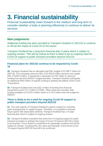## <span id="page-14-0"></span>**3. Financial sustainability**

Financial Sustainability looks forward to the medium and long term to consider whether a body is planning effectively to continue to deliver its services

#### **Main judgements**

Additional funding has been provided to Transport Scotland in 2021/22 to continue to off-set the impact of Covid-19 on the sector.

Transport Scotland has a long-term financial plan in place which is subject to ongoing revision. This will be critical as there is likely to be an ongoing need for Covid-19 support to public transport providers beyond 2021/22.

#### **Financial plans for 2021/22 continue to be impacted by Covid-19**

**49.** Transport Scotland has an allocated total DEL budget of £3,306.7 million for 2021/22. This comprises resource DEL of £3,042.8 million resource and capital DEL of £263.9 million. It represents a decrease of £152 million in resource funding from the final 2020/21 budget allocation. Transport Scotland anticipates an additional £503 million of specific funding to address the effects of the Covid-19 pandemic.

**50.** Transport Scotland also has £32.3 million of funding from financial transactions and £131.3 million of ODEL. When these are included, total funding available is £3,470.2 million which is £119.5 million than the budget for 2020/21.

#### **There is likely to be a need for ongoing Covid-19 support to public transport providers beyond 2021/22**

**51.** The vast majority of Transport Scotland's spend is based on contracts, grant arrangements or capital projects. Therefore, it is possible to forecast future spend with reasonable certainty. Transport Scotland has a 10-year financial plan which is subject to ongoing revision.

**52.** Transport Scotland considers that some form of ongoing support to public transport providers to address the impact of Covid-19 beyond 2021/22 is likely to be required. This is based on predictions for passenger numbers and will be subject to change. Consequently, the value and timespan of any future Covid-19 support beyond 2021/22 has still to be confirmed.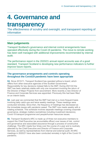## <span id="page-15-0"></span>**4. Governance and**

### **transparency**

The effectiveness of scrutiny and oversight, and transparent reporting of information

#### **Main judgements**

Transport Scotland's governance and internal control arrangements have operated effectively during the Covid-19 pandemic. The move to remote working has been well managed with additional improvements recommended by internal audit.

The performance report in the 2020/21 annual report accounts was of a good standard. Transport Scotland is developing new performance indicators to further improve future reports.

#### **The governance arrangements and controls operating throughout the Covid19 pandemic have been appropriate**

**53.** Since 2010/11, Transport Scotland has operated without a board, which differs from other executive agencies of the Scottish Government. Responsibility for key decisions instead falls to the SMT. During 2021/22 the SMT has been relatively stable with only one movement involving the return of the Director of Major Projects from secondment. More recently a new Director of Finance and Corporate Services was appointed. Previously this had been filled on an interim basis.

**54.** Last year we commented that the SMT had met on a more frequent basis involving daily catch-ups and twice weekly meetings. These meetings were conducted remotely. Since then, the frequency of meetings has decreased as the immediate issues with pandemic eased. The SMT now meets weekly with a rotating schedule. This schedule involves separate meetings covering corporate governance, strategic matters (sometimes including investment decisions), Covid-19 transport programme and people/human resources issues.

**55.** Transport Scotland's ARC is made up of three non-executive members to support the Chief Executive (as accountable officer) over issues of risk, control and governance and associated assurance through a process of constructive challenge. The ARC meets four times over the course of a year and is routinely attended by the Chief Executive and Director of Finance and Corporate Services, as well by representatives from internal and external audit. All ARC meetings in 2020/21 have also been conducted remotely in light of the Covid-19 pandemic.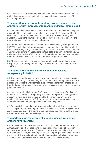**56.** During 2020, ARC members also provided support to the Chief Executive during discussions regarding funding adjustments as a consequence of the Covid-19 pandemic.

#### **Transport Scotland's remote working arrangements remain appropriate with improvements recommended by internal audit**

**57.** Last year we identified how Transport Scotland had taken various steps to ensure that the organisation was able to work remotely. This ensured that it could function appropriately and support the transport sector during the pandemic. During the course of the audit, we have been able to observe the organisation working in a remote environment.

**58.** Internal audit carried out a review of business continuity arrangements in 2020/21, concluding that arrangements are reasonable. It identified two high priority actions regarding scenario testing and staff awareness. It also identified one medium priority action regarding contact details for named individuals. An update provided to the ARC in August 2021, confirmed that the implementation date for corrective actions had been put back to September 2021.

**59.** The arrangements in place remain appropriate with further improvements being progressed through responding to the internal audit review of busines continuity.

#### **Transport Scotland has improved its openness and transparency in 2020/21**

**60.** Openness and transparency in how a body operates and makes decisions is key to supporting understanding and scrutiny. Transparency means that the public have access to understandable, relevant and timely information about how the board is taking decisions and how it is using resources such as money, people and assets.

**61.** Last year we highlighted that SMT minutes and the directors' register of interests had not been made publicly available. Transport Scotland agreed to publish the minutes of the regular monthly SMT meetings which were established again in June 2020. From review of the external website, it was confirmed that minutes are again available, extending into 2021.

**62.** Transport Scotland also had plans to publish relevant details regarding the SMT's register of interests together with its Public Services Reform (Scotland) Act disclosures. Due to the timing of the publication this has yet to take place, but we understand that this will be put in place.

#### **The performance report was of a good standard with some areas for improvement**

**63.** In addition to the opinion on the annual accounts covered in Part 1 of our Annual Audit Report, we also consider the qualitative aspects of Transport Scotland's performance report. The performance report should provide information on a body, its main objectives and the principal risks faced. It should provide a fair, balanced and understandable analysis of a body's performance as well as helping stakeholders understand the financial statements.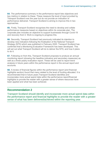**64.** The performance summary in the performance report lists objectives and key metrics in relation to these. These measure the level of input provided by Transport Scotland over the year but do not provide an indication of performance delivered. Transport Scotland is aiming to improve this in two approaches.

**65.** Firstly, Transport Scotland recognises the need to develop and collate performance measures based on objectives within its corporate plan. The corporate plan includes an objective to support businesses through Covid-19 and recovery from it. Work is ongoing to progress this.

**66.** Secondly, Transport Scotland had previously indicated its intention to develop new indicators following the finalisation of the National Transport Strategy (NTS) which was published in February 2020. Transport Scotland has confirmed that a Monitoring Evaluation Framework has been developed. This will set out what Transport Scotland will do to deliver the NTS, and how it plans to do it.

**67.** Following on from this, Transport Scotland proposes to produce an annual monitoring report (showing the headline indicators and secondary measures) as well as a three-yearly evaluation report. These will be used to report trend analysis in future years within the performance report in the annual report and accounts.

**68.** A review of financial figures within the performance report (and financial highlights section) found that many related to the level of funding allocated. It is recommended that in future years Transport Scotland identifies and incorporates more actual spend data within the performance report/financial highlights to provide the reader with a greater sense of where resources have been applied and what has been achieved.

#### **Recommendation 2**

Transport Scotland should identify and incorporate more actual spend data within the performance report and financial highlights to provide the reader with a greater sense of what has been delivered/achieved within the reporting year.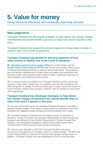## <span id="page-18-0"></span>**5. Value for money**

Using resources effectively and continually improving services

#### **Main judgements**

Transport Scotland has developed strategies to help deliver key climate change commitments but should identify a process to report how much it spends in this area.

Transport Scotland has paused its annual programme of best value reviews in 2020/21 due to the Covid-19 pandemic.

#### **Transport Scotland has paused its annual programme of best value reviews in 2020/21 due to the Covid-19 pandemic**

**69.** [Ministerial guidance to Accountable Officers](https://www.gov.scot/publications/best-value-public-services-guidance-accountable-officers/) for public bodies and the [Scottish Public Finance Manual](https://www.gov.scot/publications/scottish-public-finance-manual/best-value/best-value/) (SPFM) sets out the accountable officer's duty to ensure that arrangements are in place to secure best value. The guidance sets out the key characteristics of best value and states that compliance with the duty of best value requires public bodies to take a systematic approach to self-evaluation and continuous improvement.

**70.** In previous years we outlined how Transport Scotland carries out annual reviews of best value. These focus on a specific area and are reported to the ARC along with an update from the previous year's review. Due to the impact of Covid-19 these reviews were paused in 2020/21 with an intention to reconvene when appropriate.

#### **Transport Scotland has developed strategies to help deliver key climate change commitments but should identify ways to report how much it spends in this area**

**71.** As part of this year's audit, we reviewed Transport Scotland's activities in tackling climate change. This is part of a pilot project to understand how Audit Scotland can integrate climate change into annual auditing more widely.

**72.** Domestic transport emissions are the largest source of emissions in Scotland. Transport Scotland has strategic responsibility for delivering the key transport commitments in the Scottish Government's Climate Change Plan Update. It has developed strategies to deliver key Scottish Government commitments to reduce sectoral-wide transport emissions.

**73.** Internal audit reported in 2019 that Transport Scotland has good governance arrangements to manage activity on climate change. The SMT has overall responsibility for internal and sectoral-wide climate change action. In addition, a Climate Change Unit was established in 2019 to provide policy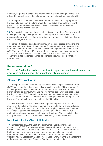direction, corporate oversight and coordination of climate change actions. The role of this group is expanding following recommendations from internal audit.

**74.** Transport Scotland has worked with partner bodies to deliver programmes. For example, the Team Scotland group that was established to take forward plans on rail decarbonisation. This involves working with bodies such as Network Rail and Abellio ScotRail.

**75.** Transport Scotland has plans to reduce its own emissions. This has helped it to surpass on original corporate emission targets. Transport Scotland is assessing future working patterns following the pandemic to help inform its new Carbon Management Plan.

**76.** Transport Scotland spends significantly on reducing carbon emissions and managing the impact from climate change. Examples include support provided to the bus sector to purchase electric vehicles and improvement works to the A83 ('Rest and Be Thankful'). However, there is currently no single budget for this. This makes it difficult to assess how much Transport Scotland is committing to tackle climate change as spending occurs across a variety of programmes.

#### **Recommendation 3**

Transport Scotland should consider how to report on spend to reduce carbon emissions and to manage the impact from climate change.

#### **Glasgow Prestwick Airport**

**77.** Transport Scotland is still looking actively to sell Glasgow Prestwick Airport (GPA). We understand that a new notice was placed in the Official Journal of the European Union in November 2020 and that discussions with potential buyers remain on-going. During 2020/21 no further loans were provided to the holding company (TS Prestwick HoldCo) so total borrowing remains at £43.4 million. A further £1.2 million worth of interest charges accrued during the year however. This takes total accrued interest to £6.3 million.

**78.** In keeping with Transport Scotland's approach in previous years, the interest on these loans has been impaired. However, following a new valuation during 2020/21 from an accountancy firm, the carrying value on the Statement of Financial Position has increased by £1.6 million. This was mainly due to updated valuations of surplus assets held by the airport. We are satisfied that this approach is in line with the relevant accounting standard (IFRS 9).

#### **New ferries for the Clyde & Hebrides**

**79.** In December 2020, the Scottish Parliament's Rural Economy and Connectivity (REC) Committee published its report into the cost overruns and delays associated with the delivery of vessels 801 and 802. It concluded there had been serious failures in vessel procurement, project planning, project management and communication. It went on to recommended that Audit Scotland review Caledonian Maritime Asset Ltd's (CMAL) financial management of the vessel contracts and Transport Scotland's role in this. It also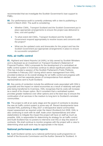recommended that we investigate the Scottish Government's loan support to FMEL.

**80.** Our performance audit is currently underway with a view to publishing a report in March 2022. The audit is considering:

- Whether CMAL, Transport Scotland and the Scottish Government put in place appropriate arrangements to ensure the project was delivered to time, cost and quality?
- To what extent did CMAL, Transport Scotland and the Scottish Government respond appropriately to resolve issues and concerns with the project?
- What are the updated costs and timescales for the project and has the Scottish Government put appropriate arrangements in place to ensure its successful completion?

#### **HIAL air traffic control**

**81.** Highland and Island Airports Ltd (HIAL) is fully owned by Scottish Ministers and is disclosed as an investment on Transport Scotland's Statement of Financial Position. HIAL's proposals for the development of a centralised air traffic control system in Inverness continue to attract significant public interest. This has included a session of the Scottish Parliament's Public Petitions Committee in February 2021 during which senior management from HIAL provided evidence on its overall strategy for air traffic control and progress with the project, and two separate pieces of correspondence from elected representatives sent to Audit Scotland.

**82.** Key points of contention include the additional costs associated with HIAL's proposals and the impact on island economies as a result of relatively well-paid jobs being transferred to Inverness. HIAL recognises that its costs will increase as a result of its chosen option. But it considers that a centralised system provides greater resilience over other options and is the best way to ensure the continuation of air services in the medium to long term to Scotland's remotest communities.

**83.** The project is still at an early stage and the award of contracts to develop the new air traffic control system is some way off. Recent developments have included HIAL publishing in May 2021 a retrospective island communities impact assessment as required under the Island (Scotland) Act 2008. HIAL is also continuing to work with its staff, trade union representatives and other stakeholders to mitigate the impact the project will have on staff as much as possible. HIAL is responsible for determining its strategy for air traffic control and Audit Scotland has no powers to intervene over this or stop the award of contracts. We shall continue to monitor progress with the project with a view to determining what audit work may be appropriate in the future.

#### **National performance audit reports**

**84.** Audit Scotland carries out a national performance audit programme on behalf of the Accounts Commission and the Auditor General for Scotland. In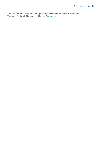2020/21 a number of reports were published which may be of direct interest to Transport Scotland. These are outlined i[n Appendix 4.](#page-34-0)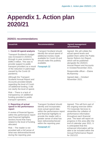## <span id="page-22-0"></span>**Appendix 1. Action plan 2020/21**

#### **2020/21 recommendations**

| <b>Issue/risk</b>                                                                                                                                                                                                                                                                                   | <b>Recommendation</b>                                                                                                                                                               | <b>Agreed management</b><br>action/timing                                                                                                                                                                                                                                                       |
|-----------------------------------------------------------------------------------------------------------------------------------------------------------------------------------------------------------------------------------------------------------------------------------------------------|-------------------------------------------------------------------------------------------------------------------------------------------------------------------------------------|-------------------------------------------------------------------------------------------------------------------------------------------------------------------------------------------------------------------------------------------------------------------------------------------------|
| 1. Covid-19 spend analysis<br><b>Transport Scotland's budget</b><br>was increased in 2020/21<br>through in-year revisions by<br>£696.0 million. This was to<br>provide support to public<br>transport providers as a result<br>of the reduction in patronage<br>caused by the Covid-19<br>pandemic. | <b>Transport Scotland should</b><br>identify the actual spend of<br>additional monies made<br>available for Covid-19 and<br>should make this publicly<br>available.<br>Paragraph 32 | Agreed. We will collate the<br>actual spend levels and<br>publish them within the Public<br>Sector Reform Act Report,<br>which will be published<br>alongside the 2020/21<br><b>Annual Report and Accounts</b><br>in October/November 2021.<br>Responsible officer - Elaine<br><b>McAtamney</b> |
| Although the Transport<br><b>Scotland Annual Report and</b><br>Accounts provided details<br>regarding the level of Covid-<br>19 additional funding, it did<br>not clarify the level of spend.                                                                                                       |                                                                                                                                                                                     | Agreed date - October/<br>November 2021.                                                                                                                                                                                                                                                        |
| Risk - There is a lack of<br>transparency on additional<br>funding provided to public<br>transport operators.                                                                                                                                                                                       |                                                                                                                                                                                     |                                                                                                                                                                                                                                                                                                 |

#### **2. Reporting of actual spend in the performance report**

A review of financial figures within the performance report (and financial highlights section) found that many related to the level of funding allocated.

Risk – The reader is not provided with a full sense of what was delivered/achieved during the reporting year.

Transport Scotland should identify and incorporates more actual spend data within the performance report and financial highlights to provide the reader with a greater sense of what has been delivered/achieved within the reporting year.

Paragraph 67

Agreed. This will form part of the ongoing exercise within TS Corporate Services to streamline the collation of performance information throughout each financial year. The team will report on progress in this area after the end of calendar year 2021. It is anticipated that this enhanced information will be able to be included within the Annual Performance Report for 2021/22.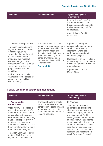| <b>Issue/risk</b>                                                                                                                           | <b>Recommendation</b>                                                                                                                                                                                                                 | <b>Agreed management</b><br>action/timing                                                                                         |
|---------------------------------------------------------------------------------------------------------------------------------------------|---------------------------------------------------------------------------------------------------------------------------------------------------------------------------------------------------------------------------------------|-----------------------------------------------------------------------------------------------------------------------------------|
|                                                                                                                                             |                                                                                                                                                                                                                                       | Responsible officer - TS<br>Corporate Services / TS<br>Business Areas to complete.<br>Elaine McAtamney to inform<br>on progress.  |
|                                                                                                                                             |                                                                                                                                                                                                                                       | Agreed date - Dec 2021-<br><b>March 2022</b>                                                                                      |
| 3. Climate change spend                                                                                                                     | <b>Transport Scotland should</b>                                                                                                                                                                                                      | Agreed. We will agree                                                                                                             |
| <b>Transport Scotland spend</b><br>significant sums on carbon<br>emissions (such as<br>supporting the purchase of<br>electric vehicles) and | identify and incorporate more<br>actual spend data within the<br>performance report and<br>financial highlights to provide<br>the reader with a greater<br>sense of what has been<br>delivered/achieved within the<br>reporting year. | processes to capture more<br>detail of this spend to<br>incorporate within the<br>performance report and<br>financial highlights. |
| managing the impact of<br>climate change on the<br>transport network. However,                                                              |                                                                                                                                                                                                                                       | Responsible officer - Elaine<br>McAtamney / TS Finance<br><b>Business Partners/ Business</b>                                      |
| spend on these types of<br>projects is not collated                                                                                         | Paragraph 76                                                                                                                                                                                                                          | Area colleagues.<br>Agroad data Doc 2021                                                                                          |

Risk – Transport Scotland cannot fully demonstrate its commitment to tackling climate change.

signed off as completed in

centrally.

Agreed date – Dec 2021- March 2022.

#### **Follow-up of prior year recommendations**

| <b>Issue/risk</b>                                                                                                                                                                                                                                                                                           | <b>Recommendation</b>                                                                                                 | <b>Agreed management</b><br>action/timing                                                                                                                                                                                                                                                                                                            |
|-------------------------------------------------------------------------------------------------------------------------------------------------------------------------------------------------------------------------------------------------------------------------------------------------------------|-----------------------------------------------------------------------------------------------------------------------|------------------------------------------------------------------------------------------------------------------------------------------------------------------------------------------------------------------------------------------------------------------------------------------------------------------------------------------------------|
| 4. Assets under<br>construction                                                                                                                                                                                                                                                                             | <b>Transport Scotland should</b><br>reconcile the assets under                                                        | In Progress                                                                                                                                                                                                                                                                                                                                          |
| Upon review of the closing<br>net book value and transfer<br>amounts in the assets under<br>construction category, we<br>concluded that the remaining<br>balance in respect of AWPR<br>(confirmed previously at<br>around £400 million) had not<br>been transferred to the trunk<br>roads network category. | construction closing balance<br>to ongoing projects at the end<br>of the year and ensure that it<br>remains accurate. | <b>Transport Scotland has</b><br>undertaken an exercise to<br>clear out residual balances<br>within the ledger, but further<br>work is required. Audit<br>investigation found £5 million<br>of balances which appear to<br>relate to completed schemes<br>and therefore should not be<br>included within assets under<br>construction. This has been |
| <b>Transport Scotland confirmed</b><br>that the AWPR had been                                                                                                                                                                                                                                               |                                                                                                                       | reported as a misstatement<br>which Transport Scotland                                                                                                                                                                                                                                                                                               |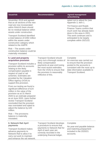| <b>Issue/risk</b>                                                                                                                                                                                                                                                                                                             | <b>Recommendation</b>                                                                                                                                                 | <b>Agreed management</b><br>action/timing                                                                                                                  |
|-------------------------------------------------------------------------------------------------------------------------------------------------------------------------------------------------------------------------------------------------------------------------------------------------------------------------------|-----------------------------------------------------------------------------------------------------------------------------------------------------------------------|------------------------------------------------------------------------------------------------------------------------------------------------------------|
| November 2019 and agreed<br>that as all sections of the new                                                                                                                                                                                                                                                                   |                                                                                                                                                                       | opted not to adjust for (see<br>Appendix 3, item 1.                                                                                                        |
| road are now incorporated<br>within RAAVS there should<br>be no residual balance within<br>assets under construction.                                                                                                                                                                                                         |                                                                                                                                                                       | <b>TS Finance and Roads</b><br>Finance Teams confirm that<br>much work has already been<br>done in this area in 2021.                                      |
| <b>Transport Scotland identified</b><br>a total balance of £392 million<br>within the assets under<br>construction category which<br>related to the AWPR.                                                                                                                                                                     |                                                                                                                                                                       | This work continues and is<br>anticipated to be largely<br>complete within 2021/22.                                                                        |
| Risk - The assets under<br>construction balance could be<br>materially misstated.                                                                                                                                                                                                                                             |                                                                                                                                                                       |                                                                                                                                                            |
| 5. Land and property<br>acquisition provision                                                                                                                                                                                                                                                                                 | <b>Transport Scotland should</b><br>carry out a thorough review of                                                                                                    | Complete<br>An exercise was carried out                                                                                                                    |
| <b>Transport Scotland includes a</b><br>provision within its accounts<br>relating to the likely<br>compensation payable in<br>respect of road or rail<br>schemes. Estimates are<br>provided by the Valuation<br>Office Agency (VOA) to<br>support this provision.                                                             | likely compensation<br>payments at year-end (using<br>the most recent estimates<br>from the VOA) to ensure that<br>the provision is reasonably<br>reflective of this. | to ensure that the provision<br>posted to the accounts is<br>consistent with the most up to<br>date information available to<br><b>Transport Scotland.</b> |
| From our testing we found a<br>significant difference of £24<br>million in the value of the<br>provision as at 31 March<br>2020 to an estimate prepared<br>as at June 2020. Upon further<br>review Transport Scotland<br>concluded that the provision<br>was overstated and opted to<br>adjust the balance by £20<br>million. |                                                                                                                                                                       |                                                                                                                                                            |
| Risk – The provisions<br>balance is materially<br>misstated.                                                                                                                                                                                                                                                                  |                                                                                                                                                                       |                                                                                                                                                            |
| <b>6. Network Rail April</b>                                                                                                                                                                                                                                                                                                  | <b>Transport Scotland develops</b>                                                                                                                                    | Complete                                                                                                                                                   |
| payments<br><b>Transport Scotland makes</b>                                                                                                                                                                                                                                                                                   | a procedure to ensure that<br>payments to Network Rail for                                                                                                            | No year-end payable balance<br>and matching prepayment                                                                                                     |
| advance payments to<br>Network Rail to allow it to<br>carry out work to maintain                                                                                                                                                                                                                                              | April of each year are<br>correctly recorded in the<br>underlying financial ledger.                                                                                   | included in the 2020/21<br>accounts.                                                                                                                       |

and enhance the rail network.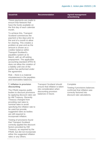| <b>Issue/risk</b>                                                                                                                                                                                                                                                                                                                                                                                                                                                                                          | <b>Recommendation</b>                                                                                     | <b>Agreed management</b><br>action/timing                                                                                |
|------------------------------------------------------------------------------------------------------------------------------------------------------------------------------------------------------------------------------------------------------------------------------------------------------------------------------------------------------------------------------------------------------------------------------------------------------------------------------------------------------------|-----------------------------------------------------------------------------------------------------------|--------------------------------------------------------------------------------------------------------------------------|
| These payments are made to<br>ensure that Network Rail<br>have the funds available on<br>the first day of each calendar<br>month.                                                                                                                                                                                                                                                                                                                                                                          |                                                                                                           |                                                                                                                          |
| To achieve this, Transport<br>Scotland commences the<br>payment a few days prior to<br>the end of a month to allow<br>for clearing. This creates a<br>problem at year-end as the<br>amount is shown as a<br>creditor balance within<br><b>Transport Scotland's</b><br>payables system at 31<br>March, with an off-setting<br>prepayment. The applicable<br>accounting standard (IFRS 9)<br>does not allow the creation of<br>a liability until one of the<br>parties has performed under<br>the agreement. |                                                                                                           |                                                                                                                          |
| Risk – there is a material<br>misstatement in the payables<br>and receivables balances.                                                                                                                                                                                                                                                                                                                                                                                                                    |                                                                                                           |                                                                                                                          |
| 7. Inflation in provision                                                                                                                                                                                                                                                                                                                                                                                                                                                                                  | <b>Transport Scotland should</b>                                                                          | Complete                                                                                                                 |
| discounting<br>The FReM requires public<br>bodies to discount provisions<br>by applying discount rates set<br>by HM Treasury. Recently<br>Treasury changed from<br>providing real rates to<br>nominal rates to avoid<br>specifying the inflation rate to<br>be used but provide<br>suggested rates as bodies                                                                                                                                                                                               | ensure that inflation is taken<br>into consideration when<br>discounting provision<br>balances in future. | Testing if provisions balances<br>confirmed that inflation was<br>correctly factored into<br>discount rate calculations. |

Testing of provisions found that Transport Scotland correctly applied the discount factors provided by HM Treasury, as required by the FReM, but did not incorporate either the suggested inflation rates or any others.

are still required to incorporate inflation.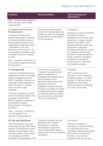| <b>Issue/risk</b>                                                                                                                                                                                                                                                                                | <b>Recommendation</b>                                                                                                                                                                                                                | <b>Agreed management</b><br>action/timing                                                                                                                                                                                                                                                                                              |
|--------------------------------------------------------------------------------------------------------------------------------------------------------------------------------------------------------------------------------------------------------------------------------------------------|--------------------------------------------------------------------------------------------------------------------------------------------------------------------------------------------------------------------------------------|----------------------------------------------------------------------------------------------------------------------------------------------------------------------------------------------------------------------------------------------------------------------------------------------------------------------------------------|
| Risk – the provisions balance<br>does not meet with FReM<br>requirements.                                                                                                                                                                                                                        |                                                                                                                                                                                                                                      |                                                                                                                                                                                                                                                                                                                                        |
| 8. Impact of Covid-19 on<br>financial plans                                                                                                                                                                                                                                                      | <b>Transport Scotland should</b><br>ensure its financial plans are                                                                                                                                                                   | In progress                                                                                                                                                                                                                                                                                                                            |
| <b>Transport Scotland has</b><br>proactively sought to amend<br>its financial plans to ensure<br>that transport operators are<br>supported through the Covid-<br>19 pandemic from the<br>reduction in fare income. As<br>the pandemic changes, plans<br>are likely to have to change<br>as well. | flexible to meet the changing<br>requirements brought about<br>by the pandemic.                                                                                                                                                      | During the course of 2020/21<br><b>Transport Scotland</b><br>developed new controls and<br>processes to support public<br>transport providers. This<br>ensured that the sector was<br>adequately supported<br>throughout the period. Given<br>the ongoing nature of the<br>pandemic, there will still be<br>further need for Transport |
| Risk – transport operators are<br>not properly supported during<br>the pandemic.                                                                                                                                                                                                                 |                                                                                                                                                                                                                                      | Scotland to manage its<br>financial plans in the short<br>and medium periods.                                                                                                                                                                                                                                                          |
| 9. Transparency                                                                                                                                                                                                                                                                                  | To enhance transparency                                                                                                                                                                                                              | Complete                                                                                                                                                                                                                                                                                                                               |
| <b>Transport Scotland formerly</b><br>published minutes of monthly<br>senior management team<br>(SMT) meetings, however as<br>meetings have increased in<br>light of Covid-19, minutes<br>have not been made<br>available.                                                                       | <b>Transport Scotland should</b><br>agree an approach to<br>publishing information which<br>demonstrates its key<br>decision-making processes<br>during the Covid-19<br>pandemic and take forward<br>its plans to publish the senior | <b>SMT</b> minutes are now<br>available on the Transport<br>Scotland website. The SMT<br>register of interests will be<br>published in the Public<br>Services Reform (Scotland)<br>Act 2010 disclosures.                                                                                                                               |
| <b>Transport Scotland has also</b><br>been considering options how<br>to publish details of the<br>SMT's register of interests in<br>line with the Scottish<br>Government's 'On:Board'<br>guidance.                                                                                              | management team's register<br>of interests within the Public<br>Services Reform (Scotland)<br>Act 2010 disclosures.                                                                                                                  |                                                                                                                                                                                                                                                                                                                                        |
| Risk – Transport Scotland is<br>not transparent in its<br>decision-making process                                                                                                                                                                                                                |                                                                                                                                                                                                                                      |                                                                                                                                                                                                                                                                                                                                        |
| 10. Fair pay disclosure                                                                                                                                                                                                                                                                          | <b>Transport Scotland should,</b>                                                                                                                                                                                                    | In progress                                                                                                                                                                                                                                                                                                                            |
| <b>The Government Financial</b><br>Reporting Manual (the FReM)<br>requires the disclosure of the                                                                                                                                                                                                 | along with the Scottish<br>Government, consider<br>developing an approach                                                                                                                                                            |                                                                                                                                                                                                                                                                                                                                        |

requires the disclosure of the median remuneration of the reporting entity's staff, based on annualised, full-time equivalent remuneration of all which incorporates agency staff into the fair pay (median) calculation.

it could perform its own calculation going forward with the Scottish Government. However, due to other pressures this has not yet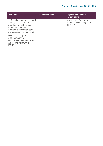| <b>Issue/risk</b>                                                                                                                                                               | <b>Recommendation</b> | <b>Agreed management</b><br>action/timing                           |
|---------------------------------------------------------------------------------------------------------------------------------------------------------------------------------|-----------------------|---------------------------------------------------------------------|
| staff (including temporary and<br>agency staff) as at the<br>reporting date. Our review<br>found that Transport<br>Scotland's calculation does<br>not incorporate agency staff. |                       | taken place. Transport<br>Scotland will investigate for<br>2021/22. |
| $Risk$ – The fair pay<br>disclosures in the<br>remuneration and staff report<br>are inconsistent with the<br>FReM.                                                              |                       |                                                                     |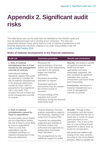process, which is carried out

### <span id="page-28-0"></span>**Appendix 2. Significant audit risks**

The table below sets out the audit risks we identified on the 2020/21 audit and how we addressed each risk in arriving at our conclusion. The risks are categorised between those where there is a risk of material misstatement in the financial statements and those relating to our wider responsibility under the [Code of Audit Practice 2016.](http://www.audit-scotland.gov.uk/report/code-of-audit-practice-2016)

#### <span id="page-28-1"></span>**Risks of material misstatement in the financial statements**

| <b>Audit risk</b>                                                                                                                                                                                                                                                                                                                                                                                                                             | <b>Assurance procedure</b>                                                                                                                                                                                                                                                                                                                                                                                      | <b>Results and conclusions</b>                                                                                                                                                                                                                                                                                                                                              |
|-----------------------------------------------------------------------------------------------------------------------------------------------------------------------------------------------------------------------------------------------------------------------------------------------------------------------------------------------------------------------------------------------------------------------------------------------|-----------------------------------------------------------------------------------------------------------------------------------------------------------------------------------------------------------------------------------------------------------------------------------------------------------------------------------------------------------------------------------------------------------------|-----------------------------------------------------------------------------------------------------------------------------------------------------------------------------------------------------------------------------------------------------------------------------------------------------------------------------------------------------------------------------|
| 1. Risk of material<br>misstatement due to fraud<br>caused by the management<br>override of controls<br><b>International Auditing</b><br>Standards require that audits<br>are planned to consider the<br>risk of material misstatement<br>in the financial statements<br>caused by fraud, which is<br>presumed to be a significant<br>risk in any audit. This<br>includes the risk of fraud due<br>to the management override<br>of controls. | Reviewed the<br>appropriateness of journal<br>entries and other adjustments<br>recorded in the general<br>ledger and financial<br>statements.<br>Reviewed accounting<br>estimates for biases.<br><b>Evaluated significant</b><br>transactions that are outside<br>the normal course of<br>business.<br>Focused testing of the<br>regularity and cut-off<br>assertions during the financial<br>statements audit. | <b>Results:</b> We tested a sample<br>of significant journals and<br>found that all were<br>appropriate and were<br>adequately supported. We<br>also reviewed all significant<br>estimates and unusual<br>transactions and found these<br>were reasonable.<br><b>Conclusion:</b> We found no<br>material misstatement as a<br>result of management<br>override of controls. |
| 2. Risk of material<br>misstatement caused by<br>fraud in expenditure                                                                                                                                                                                                                                                                                                                                                                         | <b>Finance Business Partners</b><br>analyse expenditure patterns<br>and forecasts, aligning to the                                                                                                                                                                                                                                                                                                              | <b>Results: Through further</b><br>investigation and discussion<br>we concluded that the risk of                                                                                                                                                                                                                                                                            |
| As most public-sector bodies<br>are net expenditure bodies,<br>the risk of fraud is more likely<br>to occur in expenditure.<br>There is a risk that<br>expenditure may be<br>misstated resulting in a<br>material misstatement in the<br>financial statements.                                                                                                                                                                                | Long-Term Financial Plan.<br>Payments are adequately<br>supported and checked to<br><b>Purchase Orders and</b><br>authorised and approved by<br>independent Directorate                                                                                                                                                                                                                                         | fraud was in Covid-19 restart<br>grant payments to bus<br>operators. This is due to the<br>lack of a pre-existing formal<br>agreement in place, such as<br>exists for rail operators.                                                                                                                                                                                       |
|                                                                                                                                                                                                                                                                                                                                                                                                                                               | Team Members.<br>The arrangements for the<br>additional support for public                                                                                                                                                                                                                                                                                                                                      | We performed walkthrough<br>testing of the main controls,<br>focusing on the reconciliation<br>the contract of the contract of the contract of the contract of the contract of                                                                                                                                                                                              |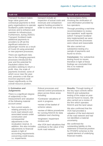| <b>Audit risk</b>                                                                                                                                                                                                                                                                                                                                                                                                                                                                                                                                                                                                                                                                                                                                                                                                                                                            | <b>Assurance procedure</b>                                                                                                                                                                                                                                                                                                                                                                             | <b>Results and conclusions</b>                                                                                                                                                                                                                                                                                                                                                                                                                                                                                                                                                                      |
|------------------------------------------------------------------------------------------------------------------------------------------------------------------------------------------------------------------------------------------------------------------------------------------------------------------------------------------------------------------------------------------------------------------------------------------------------------------------------------------------------------------------------------------------------------------------------------------------------------------------------------------------------------------------------------------------------------------------------------------------------------------------------------------------------------------------------------------------------------------------------|--------------------------------------------------------------------------------------------------------------------------------------------------------------------------------------------------------------------------------------------------------------------------------------------------------------------------------------------------------------------------------------------------------|-----------------------------------------------------------------------------------------------------------------------------------------------------------------------------------------------------------------------------------------------------------------------------------------------------------------------------------------------------------------------------------------------------------------------------------------------------------------------------------------------------------------------------------------------------------------------------------------------------|
| <b>Transport Scotland makes</b><br>large value grant and<br>contractual payments to third<br>party organisations to operate<br>Scotland's public transport<br>services and to enhance and<br>maintain its infrastructure.<br>Furthermore, during 2020/21<br><b>Transport Scotland made</b><br>additional payments to<br>providers to off-set the<br>significant reduction in<br>passenger income as a result<br>of Covid-19 using amended<br>or new payment processes.<br>There are significant risks<br>due to the changing payment<br>processes introduced this<br>year and the potential for<br>fraudulent claims from<br>providers seeking to return a<br>profit. Also, the scale of<br>payments involved, some of<br>which occur near the year-<br>end, presents a risk that an<br>incorrect payment could<br>impact significantly on the<br>overall resource position. | transport include an<br>inspection of actual costs and<br>revenues and comparison<br>against funding provided in<br>order to recover any excess.                                                                                                                                                                                                                                                       | by accountancy firms,<br>involving the verification of<br>cost information provided by<br>bus operators.<br>Through providing a real-time<br>recommendation to review<br>bus operators' audit reports<br>(which Transport Scotland<br>duly implemented) we were<br>assured that the processes<br>were robust and reasonable<br>We also carried out<br>substantive testing of a<br>sample of payments and<br>found no errors.<br><b>Conclusion: Our substantive</b><br>testing found no issues,<br>therefore in light of these<br>findings we concluded that<br>this is no material<br>misstatement. |
| 3. Estimation and<br><b>Judgements</b><br>There is a significant degree<br>of subjectivity in the<br>measurement and valuation<br>of the following material<br>account areas:<br>Non-current assets -<br>relating primarily to the<br>trunk road network and<br>associated assets under<br>construction and<br>consequential<br>adjustments in the<br>revaluation reserve. In<br>addition, this also includes<br>adjustments to financial                                                                                                                                                                                                                                                                                                                                                                                                                                    | Robust processes and<br>internal control procedures in<br>place across these areas<br>including:<br>•Contractor valuations of<br>work in progress.<br>•review of the basket of<br>scheme values.<br>•review of Atkins procedures<br>for running RAAVS for data<br>validation and checking.<br>•engineers' impairment<br>reviews and<br>•the VOA land valuations that<br>contribute to the value of the | <b>Results: Through testing of</b><br>the key input controls within<br><b>RAAVS</b> and substantive<br>testing of the output at year-<br>end we found no issues. We<br>also carried out a review of<br>the firm which operates<br>RAAVS and the land valuer.<br>We also confirmed that the<br>VOA had provided a<br>valuation of the land element<br>of the road network and had<br>not identified a material<br>uncertainty.<br>We confirmed the<br>outstanding liability on the<br>statement of financial position                                                                                |

assets in light of

i.e. impairments.

accounting requirements concerning credit losses,

for PFI/NPD schemes to the capital element of underlying financial models.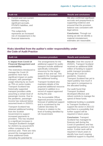| <b>Audit risk</b> |                                                                                                                                                                                                                                | <b>Assurance procedure</b> | <b>Results and conclusions</b>                                                                                                                                        |  |
|-------------------|--------------------------------------------------------------------------------------------------------------------------------------------------------------------------------------------------------------------------------|----------------------------|-----------------------------------------------------------------------------------------------------------------------------------------------------------------------|--|
|                   | Current and non-current<br>liabilities-relating to<br>significant accruals,<br>PFI/NPD liabilities, and<br>provisions.<br>This subjectivity<br>represents an increased<br>risk of misstatement in the<br>financial statements. |                            | We also confirmed significant<br>accruals and prepayments to<br>supporting evidence and<br>ensured that the provision<br>balance was consistent with<br>legal advice. |  |
|                   |                                                                                                                                                                                                                                |                            | <b>Conclusion: Through our</b><br>testing we did not identify a<br>material misstatement,<br>estimates are reasonable.                                                |  |

#### **Risks identified from the auditor's wider responsibility under the Code of Audit Practice**

| <b>Audit risk</b>                                                                                                                                                                                                                                                                                                                                                                                                                                                                                                       | <b>Assurance procedure</b>                                                                                                                                                                                                                                                                                                                                                                                                                                                                                                                     | <b>Results and conclusions</b>                                                                                                                                                                                                                                                                                                                                                                                                                                                                                                                                                         |
|-------------------------------------------------------------------------------------------------------------------------------------------------------------------------------------------------------------------------------------------------------------------------------------------------------------------------------------------------------------------------------------------------------------------------------------------------------------------------------------------------------------------------|------------------------------------------------------------------------------------------------------------------------------------------------------------------------------------------------------------------------------------------------------------------------------------------------------------------------------------------------------------------------------------------------------------------------------------------------------------------------------------------------------------------------------------------------|----------------------------------------------------------------------------------------------------------------------------------------------------------------------------------------------------------------------------------------------------------------------------------------------------------------------------------------------------------------------------------------------------------------------------------------------------------------------------------------------------------------------------------------------------------------------------------------|
| 4. Impact from Covid-19<br><b>Financial Management and</b><br>sustainability<br>The restrictions introduced to<br>manage the Covid-19<br>pandemic have had a<br>significant impact on public<br>transport, with passenger<br>usage reducing by as much<br>as 75% on some modes.<br><b>Transport Scotland has</b><br>historically supported<br>transport providers while<br>assuming a certain level of<br>passenger income. Due to<br>the pandemic, passenger<br>income has reduced below<br>assumed levels in 2020/21. | The arrangements for the<br>additional support for public<br>transport include additional<br>specifically contracted<br>resources for the largest<br>areas of bus and rail. This<br>supports the management of<br>the additional funding.<br><b>Transport Scotland also</b><br>maintains details of the<br>projected additional resource<br>required in addition to a<br>record of support approved<br>during the year.<br>The Accountable Officer<br>Approval process includes<br>forecast of additional support<br>and is scrutinised by the | <b>Results: Over the course of</b><br>2020/21, Transport Scotland<br>received an additional £696<br>million of funding to support<br>public transport providers<br>through the Covid-19<br>pandemic. However,<br><b>Transport Scotland has yet to</b><br>report publicly how much it<br>has spent in comparison to<br>the allocated funding.<br>Our audit found that<br><b>Transport Scotland</b><br>developed effective and<br>robust controls to manage the<br>spend of these funds.<br>Additional funding is available<br>to Transport Scotland to<br>support the sector in 2021/22 |
| obtained additional funding<br>from the Scottish<br>Government to support<br>increased payments to<br>providers. This has resulted<br>in a significant increase in<br><b>Transport Scotland's budget</b><br>for 2020/21 by around £670<br>million compared to the<br>previous year. There are risks                                                                                                                                                                                                                     | Finance in relation to the<br>level of funding identified by<br><b>UK Government.</b>                                                                                                                                                                                                                                                                                                                                                                                                                                                          | and there is a possibility that<br>further support will be<br>required in future years.<br><b>Conclusion: Transport</b><br>Scotland has managed its<br>finances well during the<br>Covid-19 pandemic and has<br>supported key partners in the<br>sector. Further work will be<br>raquirad in futura vasre to                                                                                                                                                                                                                                                                           |

these additional funds (including the potential for

around the management of

supported key partners in the sector. Further work will be required in future years to identify how much ongoing additional support is required.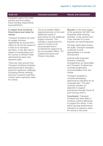**Audit risk Assurance procedure Results and conclusions**

fraudulent claims from third parties) and forecasting future funding requirements beyond2020/21.

#### **5. Impact from Covid-19 – Governance and value for money**

Transport Scotland has seen its budget increase significantly by around £670 million to off-set the impact of Covid-19 on transport providers. It has also had to adapt to homeworking over the course of 2020/21 while administering many new payment types.

There are risks around how Transport Scotland maintains good governance through a period of significant challenge (including remote working) and how it assures itself that monies spent represent value for money.

The Accountable Officer Approval process is the main additional strand of governance for the additional support required. This includes a requirement for value for money to be demonstrated that is scrutinised for approval by the Accountable Officer, TIC Cabinet Secretary and Finance Secretary.

**Results:** In the early stages of the pandemic the SMT met frequently while working remotely. In the period since it has reverted to a more business-as-usual frequency.

Through observation during the audit, Transport Scotland continues to work appropriately in a remote environment.

Internal audit assessed business continuity arrangements as reasonable, and Transport Scotland are currently progressing recommendation from this review.

Transport Scotland is currently developing performance indicators for its corporate plan. The plan currently includes an objective to support businesses through Covid-19 and recovery from it.

**Conclusion:** Transport Scotland has been able to continue working effectively to support the sector. It has still to develop performance indicators to measure value for money in this area.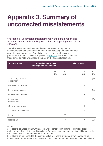### <span id="page-32-0"></span>**Appendix 3. Summary of uncorrected misstatements**

We report all uncorrected misstatements in the annual report and accounts that are individually greater than our reporting threshold of £250,000.

The table below summarises amendments that would be required to misstatements that were identified during our audit testing and have not been corrected by management. Cumulatively these errors are below our performance materiality level as explained in Exhibit 1. We are satisfied that these errors do not have a material impact on the financial statements.

| <b>Account areas</b>                | <b>Comprehensive income</b><br>and expenditure statement |          | <b>Balance sheet</b> |                      |
|-------------------------------------|----------------------------------------------------------|----------|----------------------|----------------------|
|                                     | Dr<br>£m                                                 | cr<br>£m | Dr<br>£m             | $\mathbf{C}$ r<br>£m |
| 1. Property, plant and<br>equipment |                                                          |          |                      | (5)                  |
| <b>Revaluation reserve</b>          |                                                          |          | 5                    |                      |
| 2. Financial assets                 |                                                          |          |                      | (5)                  |
| (Revaluation reserve                |                                                          |          | 5                    |                      |
| 3. Non-current<br>receivables       |                                                          |          |                      | (5)                  |
| <b>Current receivables</b>          |                                                          |          | 5                    |                      |
| 4. Current receivables              |                                                          |          | $\overline{7}$       |                      |
| Income                              |                                                          | (7)      |                      |                      |
| Net impact                          |                                                          | (7)      | $\overline{7}$       | (10)                 |

Notes:

1. relates to balances found within assets under construction relating to completed roads projects. Note that only the credit posting to Property, plant and equipment would impact on the net position as the other entry impacts on reserves.

2. relates to an adjustment to the carrying value of loans to a third party which attracts no interest, required under IFRS 9 to represent discounted future cash receipts. Note that only the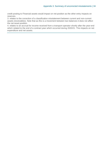credit posting to Financial assets would impact on net position as the other entry impacts on reserves.

3. relates to the correction of a classification misstatement between current and non-current assets (receivables). Note that as this is a movement between two balances it does not affect the net asset position.

4. relates to an accrual for income received from a transport operator shortly after the year-end which related to the end of a contract year which occurred during 2020/21. This impacts on net expenditure and net assets.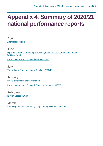### <span id="page-34-0"></span>**Appendix 4. Summary of 2020/21 national performance reports**

April [Affordable housing](https://www.audit-scotland.gov.uk/report/affordable-housing)

June [Highlands and Islands Enterprise: Management of Cairngorm mountain and](https://www.audit-scotland.gov.uk/report/highlands-and-islands-enterprise-management-of-cairngorm-mountain-and-funicular-railway)  [funicular railway](https://www.audit-scotland.gov.uk/report/highlands-and-islands-enterprise-management-of-cairngorm-mountain-and-funicular-railway)

[Local government in Scotland Overview 2020](https://www.audit-scotland.gov.uk/report/local-government-in-scotland-overview-2020)

**July** [The National Fraud Initiative in Scotland 2018/19](https://www.audit-scotland.gov.uk/report/the-national-fraud-initiative-in-scotland-201819)

**January** [Digital progress in local government](https://www.audit-scotland.gov.uk/report/digital-progress-in-local-government) [Local government in Scotland: Financial overview 2019/20](https://www.audit-scotland.gov.uk/report/local-government-in-scotland-financial-overview-201920)

February [NHS in Scotland 2020](https://www.audit-scotland.gov.uk/report/nhs-in-scotland-2020)

March [Improving outcomes for young people through school education](https://www.audit-scotland.gov.uk/report/improving-outcomes-for-young-people-through-school-education)